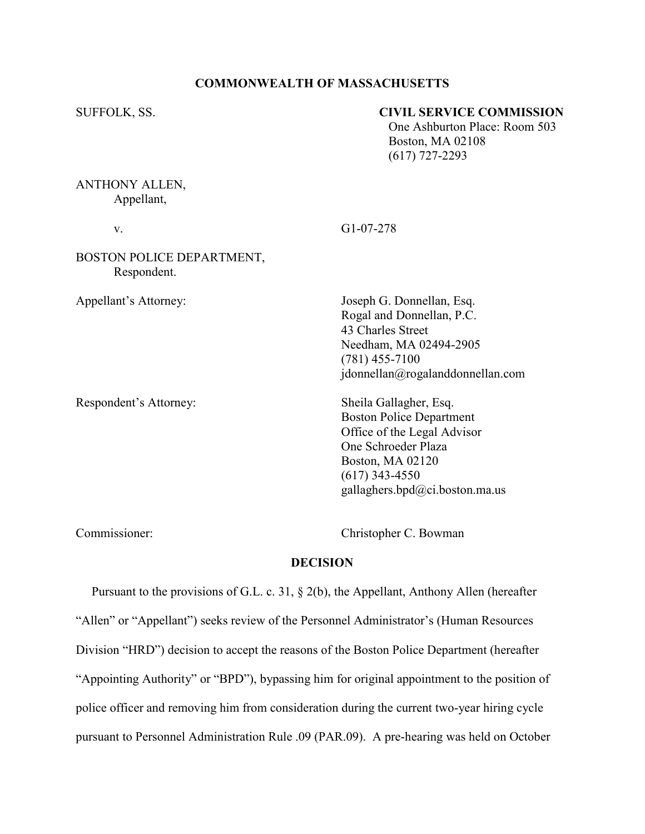### COMMONWEALTH OF MASSACHUSETTS

### SUFFOLK, SS. **CIVIL SERVICE COMMISSION**

 One Ashburton Place: Room 503 Boston, MA 02108 (617) 727-2293

# ANTHONY ALLEN, Appellant,

v. G1-07-278

# BOSTON POLICE DEPARTMENT, Respondent.

Appellant's Attorney: Joseph G. Donnellan, Esq. Rogal and Donnellan, P.C. 43 Charles Street Needham, MA 02494-2905 (781) 455-7100 jdonnellan@rogalanddonnellan.com

Respondent's Attorney: Sheila Gallagher, Esq. Boston Police Department Office of the Legal Advisor One Schroeder Plaza Boston, MA 02120 (617) 343-4550 gallaghers.bpd@ci.boston.ma.us

Commissioner: Christopher C. Bowman

## DECISION

 Pursuant to the provisions of G.L. c. 31, § 2(b), the Appellant, Anthony Allen (hereafter "Allen" or "Appellant") seeks review of the Personnel Administrator's (Human Resources Division "HRD") decision to accept the reasons of the Boston Police Department (hereafter "Appointing Authority" or "BPD"), bypassing him for original appointment to the position of police officer and removing him from consideration during the current two-year hiring cycle pursuant to Personnel Administration Rule .09 (PAR.09). A pre-hearing was held on October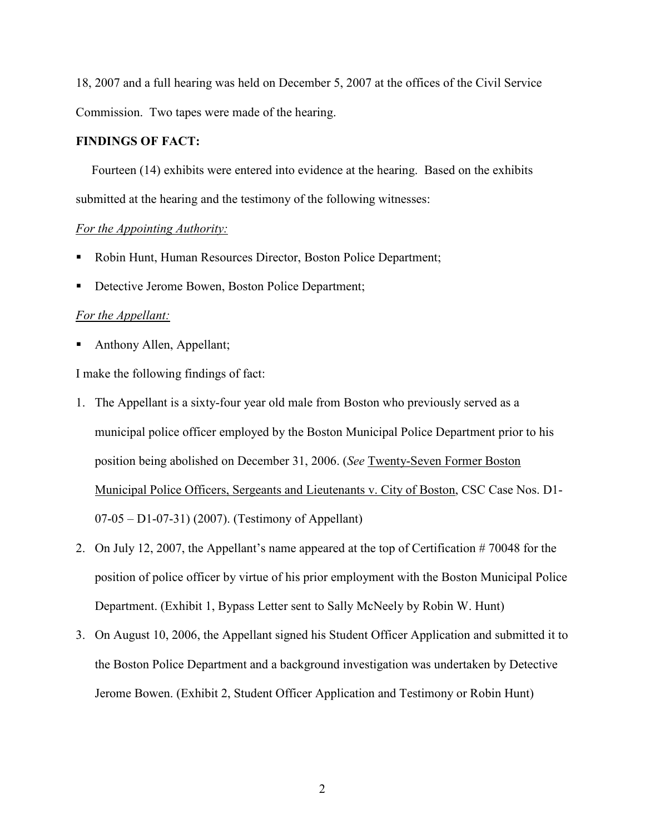18, 2007 and a full hearing was held on December 5, 2007 at the offices of the Civil Service Commission. Two tapes were made of the hearing.

## FINDINGS OF FACT:

 Fourteen (14) exhibits were entered into evidence at the hearing. Based on the exhibits submitted at the hearing and the testimony of the following witnesses:

#### For the Appointing Authority:

- Robin Hunt, Human Resources Director, Boston Police Department;
- Detective Jerome Bowen, Boston Police Department;

#### For the Appellant:

Anthony Allen, Appellant;

I make the following findings of fact:

- 1. The Appellant is a sixty-four year old male from Boston who previously served as a municipal police officer employed by the Boston Municipal Police Department prior to his position being abolished on December 31, 2006. (See Twenty-Seven Former Boston Municipal Police Officers, Sergeants and Lieutenants v. City of Boston, CSC Case Nos. D1- 07-05 – D1-07-31) (2007). (Testimony of Appellant)
- 2. On July 12, 2007, the Appellant's name appeared at the top of Certification # 70048 for the position of police officer by virtue of his prior employment with the Boston Municipal Police Department. (Exhibit 1, Bypass Letter sent to Sally McNeely by Robin W. Hunt)
- 3. On August 10, 2006, the Appellant signed his Student Officer Application and submitted it to the Boston Police Department and a background investigation was undertaken by Detective Jerome Bowen. (Exhibit 2, Student Officer Application and Testimony or Robin Hunt)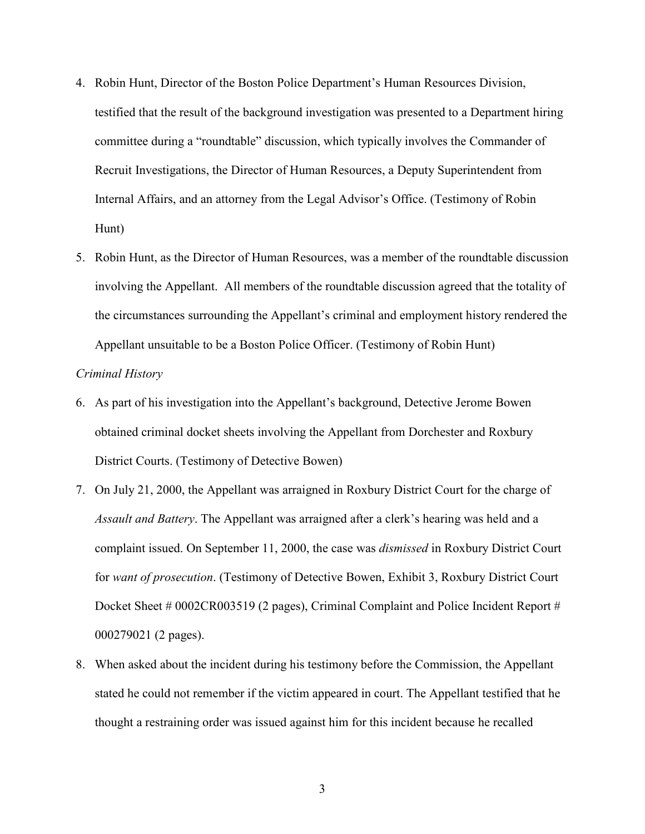- 4. Robin Hunt, Director of the Boston Police Department's Human Resources Division, testified that the result of the background investigation was presented to a Department hiring committee during a "roundtable" discussion, which typically involves the Commander of Recruit Investigations, the Director of Human Resources, a Deputy Superintendent from Internal Affairs, and an attorney from the Legal Advisor's Office. (Testimony of Robin Hunt)
- 5. Robin Hunt, as the Director of Human Resources, was a member of the roundtable discussion involving the Appellant. All members of the roundtable discussion agreed that the totality of the circumstances surrounding the Appellant's criminal and employment history rendered the Appellant unsuitable to be a Boston Police Officer. (Testimony of Robin Hunt)

## Criminal History

- 6. As part of his investigation into the Appellant's background, Detective Jerome Bowen obtained criminal docket sheets involving the Appellant from Dorchester and Roxbury District Courts. (Testimony of Detective Bowen)
- 7. On July 21, 2000, the Appellant was arraigned in Roxbury District Court for the charge of Assault and Battery. The Appellant was arraigned after a clerk's hearing was held and a complaint issued. On September 11, 2000, the case was dismissed in Roxbury District Court for want of prosecution. (Testimony of Detective Bowen, Exhibit 3, Roxbury District Court Docket Sheet # 0002CR003519 (2 pages), Criminal Complaint and Police Incident Report # 000279021 (2 pages).
- 8. When asked about the incident during his testimony before the Commission, the Appellant stated he could not remember if the victim appeared in court. The Appellant testified that he thought a restraining order was issued against him for this incident because he recalled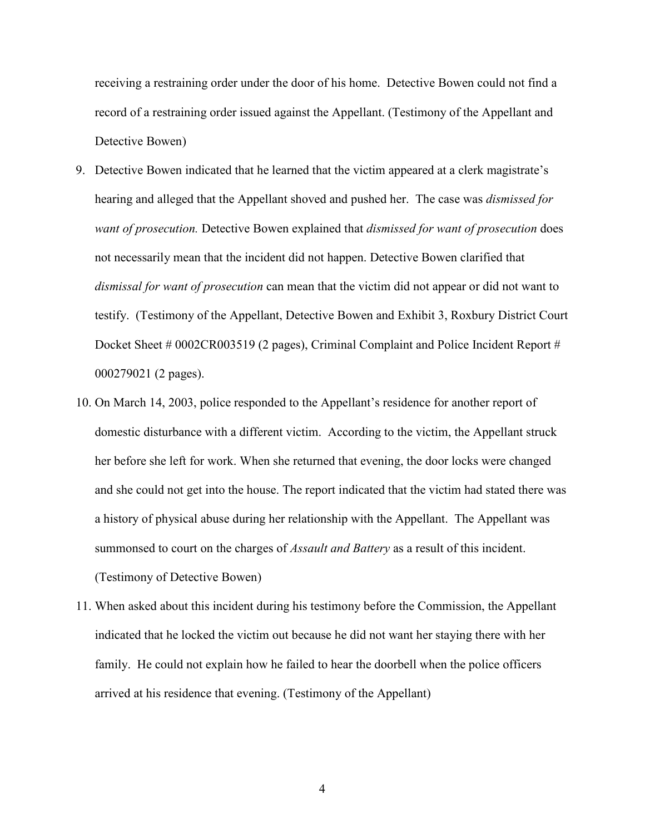receiving a restraining order under the door of his home. Detective Bowen could not find a record of a restraining order issued against the Appellant. (Testimony of the Appellant and Detective Bowen)

- 9. Detective Bowen indicated that he learned that the victim appeared at a clerk magistrate's hearing and alleged that the Appellant shoved and pushed her. The case was *dismissed for* want of prosecution. Detective Bowen explained that dismissed for want of prosecution does not necessarily mean that the incident did not happen. Detective Bowen clarified that dismissal for want of prosecution can mean that the victim did not appear or did not want to testify. (Testimony of the Appellant, Detective Bowen and Exhibit 3, Roxbury District Court Docket Sheet # 0002CR003519 (2 pages), Criminal Complaint and Police Incident Report # 000279021 (2 pages).
- 10. On March 14, 2003, police responded to the Appellant's residence for another report of domestic disturbance with a different victim. According to the victim, the Appellant struck her before she left for work. When she returned that evening, the door locks were changed and she could not get into the house. The report indicated that the victim had stated there was a history of physical abuse during her relationship with the Appellant. The Appellant was summonsed to court on the charges of *Assault and Battery* as a result of this incident. (Testimony of Detective Bowen)
- 11. When asked about this incident during his testimony before the Commission, the Appellant indicated that he locked the victim out because he did not want her staying there with her family. He could not explain how he failed to hear the doorbell when the police officers arrived at his residence that evening. (Testimony of the Appellant)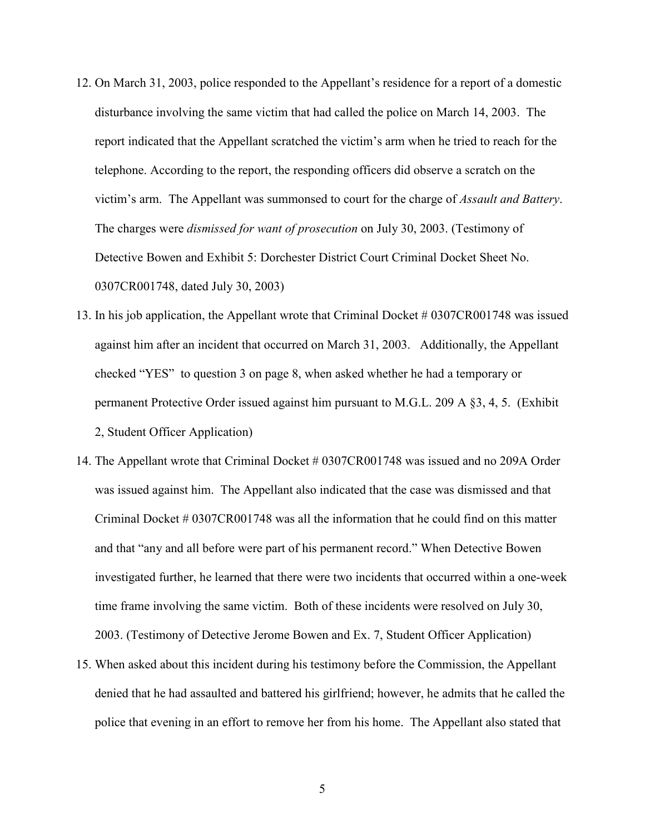- 12. On March 31, 2003, police responded to the Appellant's residence for a report of a domestic disturbance involving the same victim that had called the police on March 14, 2003. The report indicated that the Appellant scratched the victim's arm when he tried to reach for the telephone. According to the report, the responding officers did observe a scratch on the victim's arm. The Appellant was summonsed to court for the charge of Assault and Battery. The charges were dismissed for want of prosecution on July 30, 2003. (Testimony of Detective Bowen and Exhibit 5: Dorchester District Court Criminal Docket Sheet No. 0307CR001748, dated July 30, 2003)
- 13. In his job application, the Appellant wrote that Criminal Docket # 0307CR001748 was issued against him after an incident that occurred on March 31, 2003. Additionally, the Appellant checked "YES" to question 3 on page 8, when asked whether he had a temporary or permanent Protective Order issued against him pursuant to M.G.L. 209 A §3, 4, 5. (Exhibit 2, Student Officer Application)
- 14. The Appellant wrote that Criminal Docket # 0307CR001748 was issued and no 209A Order was issued against him. The Appellant also indicated that the case was dismissed and that Criminal Docket  $\#0307CR001748$  was all the information that he could find on this matter and that "any and all before were part of his permanent record." When Detective Bowen investigated further, he learned that there were two incidents that occurred within a one-week time frame involving the same victim. Both of these incidents were resolved on July 30, 2003. (Testimony of Detective Jerome Bowen and Ex. 7, Student Officer Application)
- 15. When asked about this incident during his testimony before the Commission, the Appellant denied that he had assaulted and battered his girlfriend; however, he admits that he called the police that evening in an effort to remove her from his home. The Appellant also stated that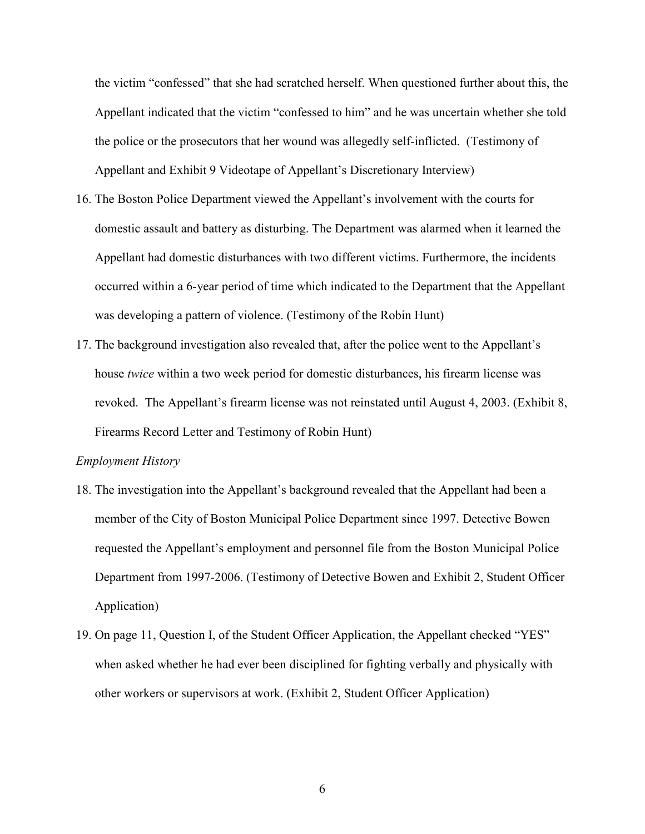the victim "confessed" that she had scratched herself. When questioned further about this, the Appellant indicated that the victim "confessed to him" and he was uncertain whether she told the police or the prosecutors that her wound was allegedly self-inflicted. (Testimony of Appellant and Exhibit 9 Videotape of Appellant's Discretionary Interview)

- 16. The Boston Police Department viewed the Appellant's involvement with the courts for domestic assault and battery as disturbing. The Department was alarmed when it learned the Appellant had domestic disturbances with two different victims. Furthermore, the incidents occurred within a 6-year period of time which indicated to the Department that the Appellant was developing a pattern of violence. (Testimony of the Robin Hunt)
- 17. The background investigation also revealed that, after the police went to the Appellant's house twice within a two week period for domestic disturbances, his firearm license was revoked. The Appellant's firearm license was not reinstated until August 4, 2003. (Exhibit 8, Firearms Record Letter and Testimony of Robin Hunt)

### Employment History

- 18. The investigation into the Appellant's background revealed that the Appellant had been a member of the City of Boston Municipal Police Department since 1997. Detective Bowen requested the Appellant's employment and personnel file from the Boston Municipal Police Department from 1997-2006. (Testimony of Detective Bowen and Exhibit 2, Student Officer Application)
- 19. On page 11, Question I, of the Student Officer Application, the Appellant checked "YES" when asked whether he had ever been disciplined for fighting verbally and physically with other workers or supervisors at work. (Exhibit 2, Student Officer Application)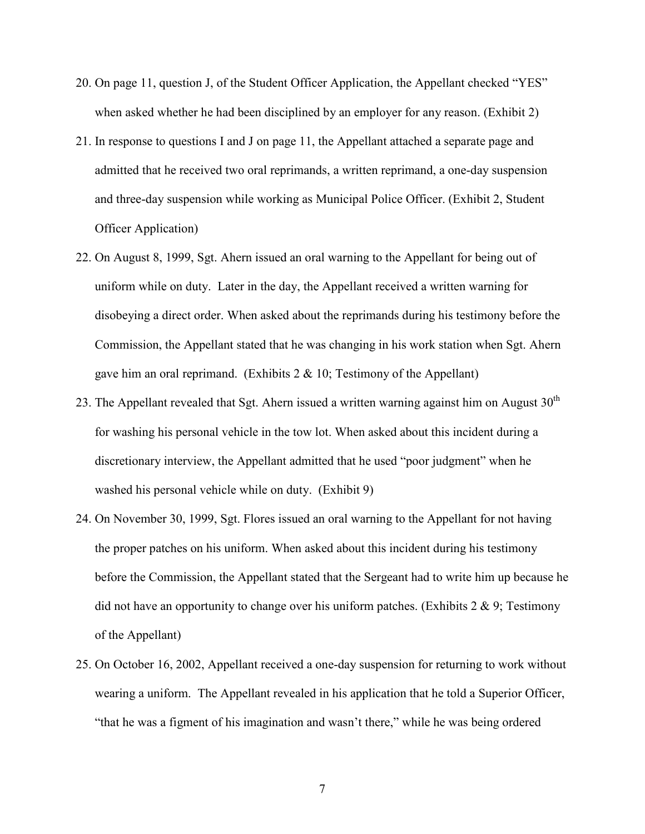- 20. On page 11, question J, of the Student Officer Application, the Appellant checked "YES" when asked whether he had been disciplined by an employer for any reason. (Exhibit 2)
- 21. In response to questions I and J on page 11, the Appellant attached a separate page and admitted that he received two oral reprimands, a written reprimand, a one-day suspension and three-day suspension while working as Municipal Police Officer. (Exhibit 2, Student Officer Application)
- 22. On August 8, 1999, Sgt. Ahern issued an oral warning to the Appellant for being out of uniform while on duty. Later in the day, the Appellant received a written warning for disobeying a direct order. When asked about the reprimands during his testimony before the Commission, the Appellant stated that he was changing in his work station when Sgt. Ahern gave him an oral reprimand. (Exhibits  $2 \& 10$ ; Testimony of the Appellant)
- 23. The Appellant revealed that Sgt. Ahern issued a written warning against him on August  $30<sup>th</sup>$ for washing his personal vehicle in the tow lot. When asked about this incident during a discretionary interview, the Appellant admitted that he used "poor judgment" when he washed his personal vehicle while on duty. (Exhibit 9)
- 24. On November 30, 1999, Sgt. Flores issued an oral warning to the Appellant for not having the proper patches on his uniform. When asked about this incident during his testimony before the Commission, the Appellant stated that the Sergeant had to write him up because he did not have an opportunity to change over his uniform patches. (Exhibits  $2 \& 9$ ; Testimony of the Appellant)
- 25. On October 16, 2002, Appellant received a one-day suspension for returning to work without wearing a uniform. The Appellant revealed in his application that he told a Superior Officer, "that he was a figment of his imagination and wasn't there," while he was being ordered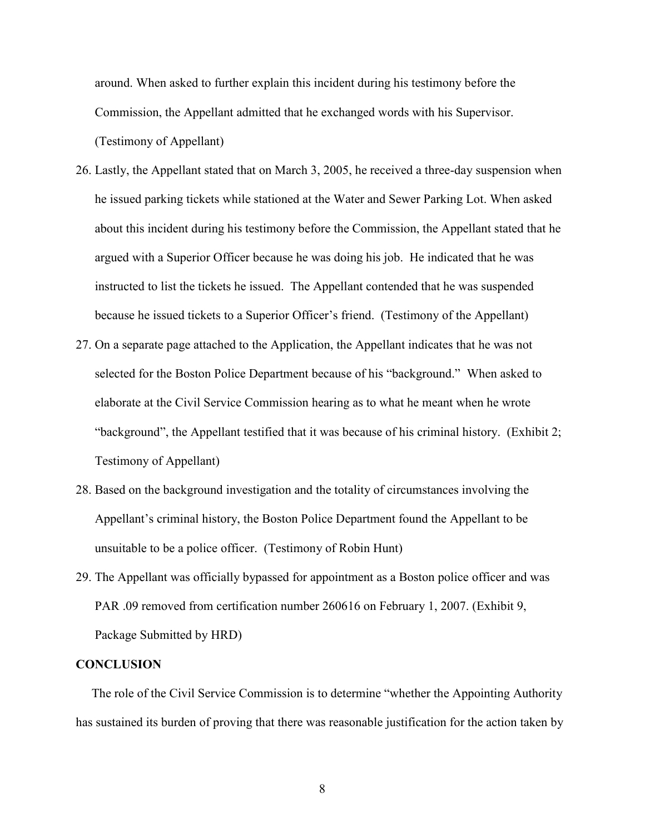around. When asked to further explain this incident during his testimony before the Commission, the Appellant admitted that he exchanged words with his Supervisor. (Testimony of Appellant)

- 26. Lastly, the Appellant stated that on March 3, 2005, he received a three-day suspension when he issued parking tickets while stationed at the Water and Sewer Parking Lot. When asked about this incident during his testimony before the Commission, the Appellant stated that he argued with a Superior Officer because he was doing his job. He indicated that he was instructed to list the tickets he issued. The Appellant contended that he was suspended because he issued tickets to a Superior Officer's friend. (Testimony of the Appellant)
- 27. On a separate page attached to the Application, the Appellant indicates that he was not selected for the Boston Police Department because of his "background." When asked to elaborate at the Civil Service Commission hearing as to what he meant when he wrote "background", the Appellant testified that it was because of his criminal history. (Exhibit 2; Testimony of Appellant)
- 28. Based on the background investigation and the totality of circumstances involving the Appellant's criminal history, the Boston Police Department found the Appellant to be unsuitable to be a police officer. (Testimony of Robin Hunt)
- 29. The Appellant was officially bypassed for appointment as a Boston police officer and was PAR .09 removed from certification number 260616 on February 1, 2007. (Exhibit 9, Package Submitted by HRD)

#### **CONCLUSION**

 The role of the Civil Service Commission is to determine "whether the Appointing Authority has sustained its burden of proving that there was reasonable justification for the action taken by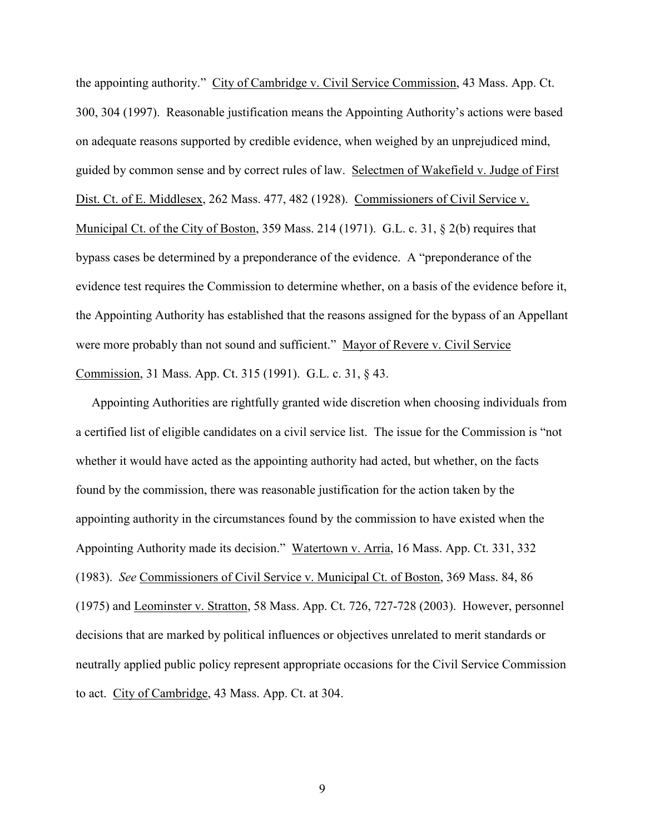the appointing authority." City of Cambridge v. Civil Service Commission, 43 Mass. App. Ct. 300, 304 (1997). Reasonable justification means the Appointing Authority's actions were based on adequate reasons supported by credible evidence, when weighed by an unprejudiced mind, guided by common sense and by correct rules of law. Selectmen of Wakefield v. Judge of First Dist. Ct. of E. Middlesex, 262 Mass. 477, 482 (1928). Commissioners of Civil Service v. Municipal Ct. of the City of Boston, 359 Mass. 214 (1971). G.L. c. 31, § 2(b) requires that bypass cases be determined by a preponderance of the evidence. A "preponderance of the evidence test requires the Commission to determine whether, on a basis of the evidence before it, the Appointing Authority has established that the reasons assigned for the bypass of an Appellant were more probably than not sound and sufficient." Mayor of Revere v. Civil Service Commission, 31 Mass. App. Ct. 315 (1991). G.L. c. 31, § 43.

 Appointing Authorities are rightfully granted wide discretion when choosing individuals from a certified list of eligible candidates on a civil service list. The issue for the Commission is "not whether it would have acted as the appointing authority had acted, but whether, on the facts found by the commission, there was reasonable justification for the action taken by the appointing authority in the circumstances found by the commission to have existed when the Appointing Authority made its decision." Watertown v. Arria, 16 Mass. App. Ct. 331, 332 (1983). See Commissioners of Civil Service v. Municipal Ct. of Boston, 369 Mass. 84, 86 (1975) and Leominster v. Stratton, 58 Mass. App. Ct. 726, 727-728 (2003). However, personnel decisions that are marked by political influences or objectives unrelated to merit standards or neutrally applied public policy represent appropriate occasions for the Civil Service Commission to act. City of Cambridge, 43 Mass. App. Ct. at 304.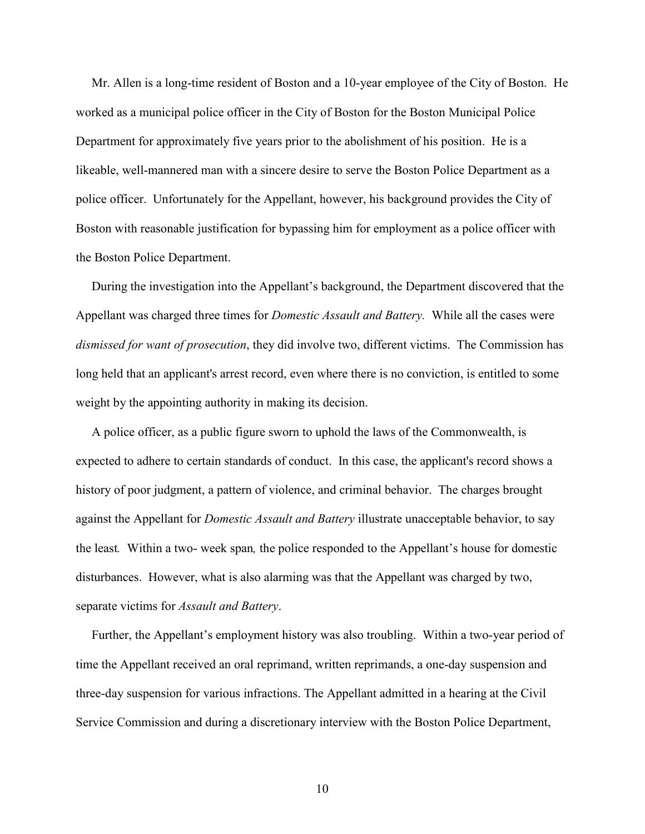Mr. Allen is a long-time resident of Boston and a 10-year employee of the City of Boston. He worked as a municipal police officer in the City of Boston for the Boston Municipal Police Department for approximately five years prior to the abolishment of his position. He is a likeable, well-mannered man with a sincere desire to serve the Boston Police Department as a police officer. Unfortunately for the Appellant, however, his background provides the City of Boston with reasonable justification for bypassing him for employment as a police officer with the Boston Police Department.

 During the investigation into the Appellant's background, the Department discovered that the Appellant was charged three times for Domestic Assault and Battery. While all the cases were dismissed for want of prosecution, they did involve two, different victims. The Commission has long held that an applicant's arrest record, even where there is no conviction, is entitled to some weight by the appointing authority in making its decision.

 A police officer, as a public figure sworn to uphold the laws of the Commonwealth, is expected to adhere to certain standards of conduct. In this case, the applicant's record shows a history of poor judgment, a pattern of violence, and criminal behavior. The charges brought against the Appellant for Domestic Assault and Battery illustrate unacceptable behavior, to say the least. Within a two- week span, the police responded to the Appellant's house for domestic disturbances. However, what is also alarming was that the Appellant was charged by two, separate victims for Assault and Battery.

 Further, the Appellant's employment history was also troubling. Within a two-year period of time the Appellant received an oral reprimand, written reprimands, a one-day suspension and three-day suspension for various infractions. The Appellant admitted in a hearing at the Civil Service Commission and during a discretionary interview with the Boston Police Department,